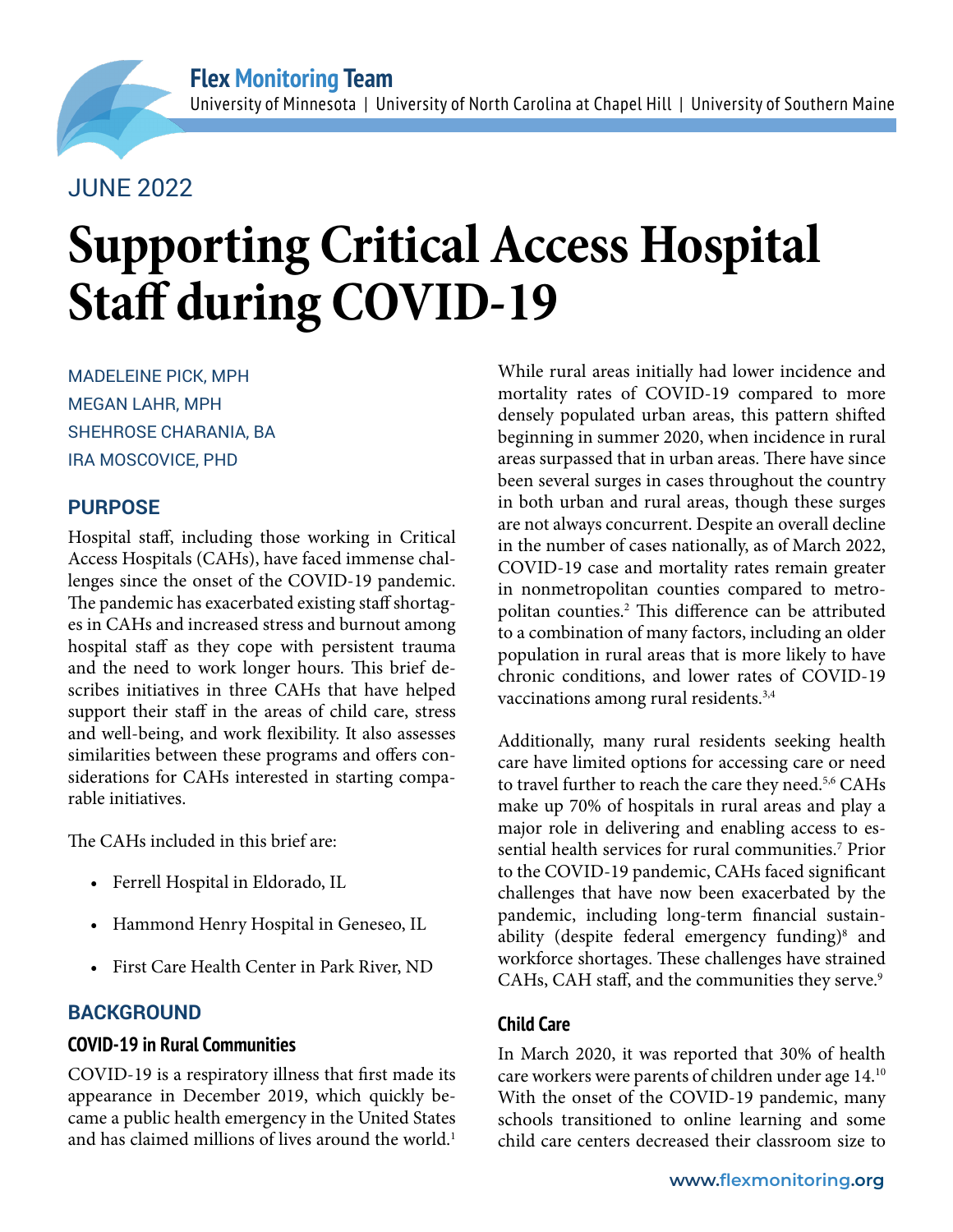# JUNE 2022

# **Supporting Critical Access Hospital Staff during COVID-19**

MADELEINE PICK, MPH MEGAN LAHR, MPH SHEHROSE CHARANIA, BA IRA MOSCOVICE, PHD

### **PURPOSE**

Hospital staff, including those working in Critical Access Hospitals (CAHs), have faced immense challenges since the onset of the COVID-19 pandemic. The pandemic has exacerbated existing staff shortages in CAHs and increased stress and burnout among hospital staff as they cope with persistent trauma and the need to work longer hours. This brief describes initiatives in three CAHs that have helped support their staff in the areas of child care, stress and well-being, and work flexibility. It also assesses similarities between these programs and offers considerations for CAHs interested in starting comparable initiatives.

The CAHs included in this brief are:

- Ferrell Hospital in Eldorado, IL
- Hammond Henry Hospital in Geneseo, IL
- First Care Health Center in Park River, ND

## **BACKGROUND**

#### **COVID-19 in Rural Communities**

COVID-19 is a respiratory illness that first made its appearance in December 2019, which quickly became a public health emergency in the United States and has claimed millions of lives around the world.<sup>1</sup>

While rural areas initially had lower incidence and mortality rates of COVID-19 compared to more densely populated urban areas, this pattern shifted beginning in summer 2020, when incidence in rural areas surpassed that in urban areas. There have since been several surges in cases throughout the country in both urban and rural areas, though these surges are not always concurrent. Despite an overall decline in the number of cases nationally, as of March 2022, COVID-19 case and mortality rates remain greater in nonmetropolitan counties compared to metropolitan counties.2 This difference can be attributed to a combination of many factors, including an older population in rural areas that is more likely to have chronic conditions, and lower rates of COVID-19 vaccinations among rural residents.3,4

Additionally, many rural residents seeking health care have limited options for accessing care or need to travel further to reach the care they need.<sup>5,6</sup> CAHs make up 70% of hospitals in rural areas and play a major role in delivering and enabling access to essential health services for rural communities.<sup>7</sup> Prior to the COVID-19 pandemic, CAHs faced significant challenges that have now been exacerbated by the pandemic, including long-term financial sustainability (despite federal emergency funding)<sup>8</sup> and workforce shortages. These challenges have strained CAHs, CAH staff, and the communities they serve.<sup>9</sup>

#### **Child Care**

In March 2020, it was reported that 30% of health care workers were parents of children under [age 14.1](https://www.americanprogress.org/article/u-s-coronavirus-response-must-meet-health-workers-child-care-needs/)0 With the onset of the COVID-19 pandemic, many schools transitioned to online learning and some child care centers decreased their classroom size to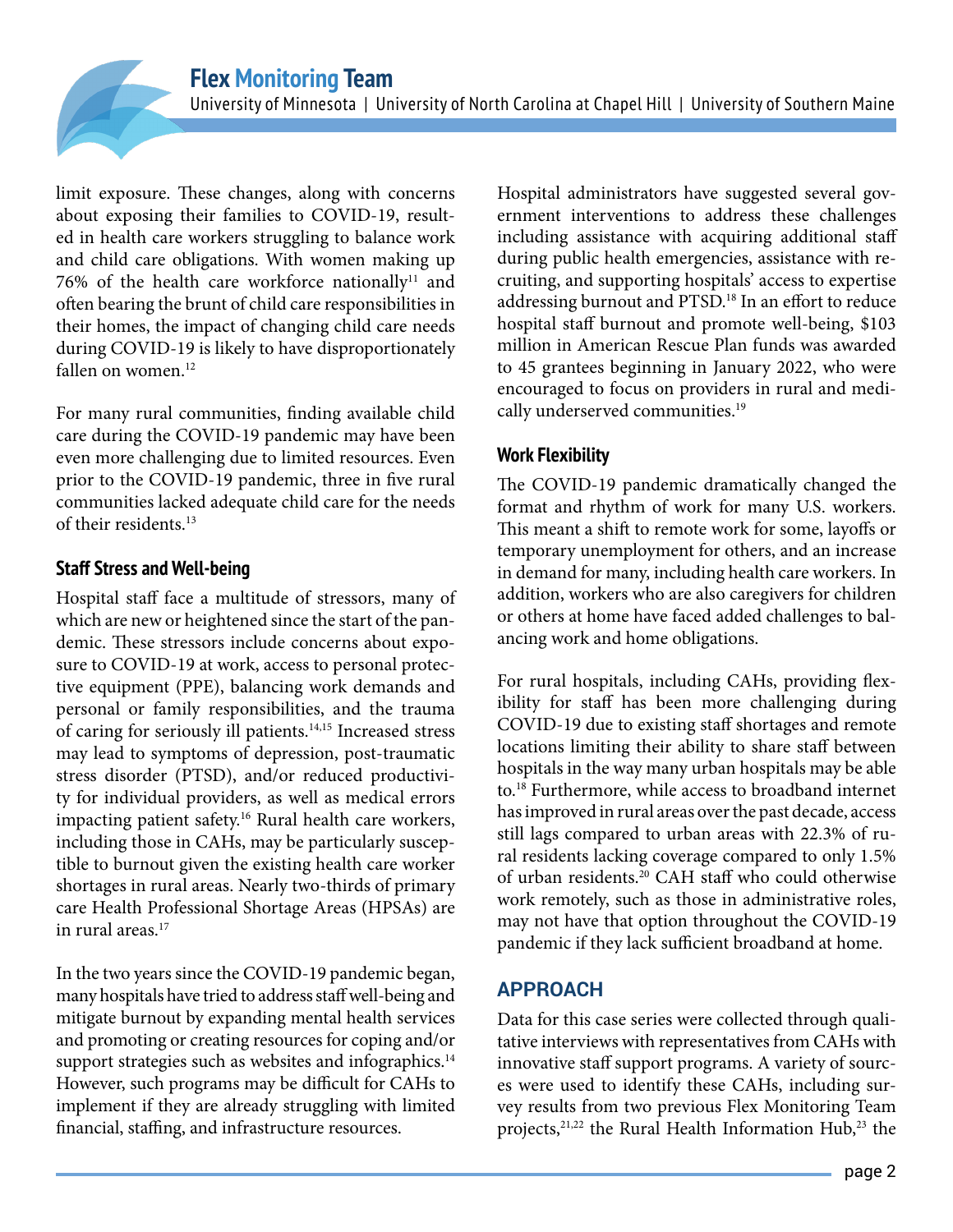limit exposure. These changes, along with concerns about exposing their families to COVID-19, resulted in health care workers struggling to balance work and child care obligations. With women making up 76% of the health care workforce nationally<sup>11</sup> and often bearing the brunt of child care responsibilities in their homes, the impact of changing child care needs during COVID-19 is likely to have disproportionately fallen on women.<sup>12</sup>

For many rural communities, finding available child care during the COVID-19 pandemic may have been even more challenging due to limited resources. Even prior to the COVID-19 pandemic, three in five rural communities lacked adequate child care for the needs of their residents<sup>13</sup>

#### **Staff Stress and Well-being**

Hospital staff face a multitude of stressors, many of which are new or heightened since the start of the pandemic. These stressors include concerns about exposure to COVID-19 at work, access to personal protective equipment (PPE), balancing work demands and personal or family responsibilities, and the trauma of caring for seriously ill patients.14,15 Increased stress may lead to symptoms of depression, post-traumatic stress disorder (PTSD), and/or reduced productivity for individual providers, as well as medical errors impacting patient safety.16 Rural health care workers, including those in CAHs, may be particularly susceptible to burnout given the existing health care worker shortages in rural areas. Nearly two-thirds of primary care Health Professional Shortage Areas (HPSAs) are in rural areas.17

In the two years since the COVID-19 pandemic began, many hospitals have tried to address staff well-being and mitigate burnout by expanding mental health services and promoting or creating resources for coping and/or support strategies such as websites and infographics.<sup>14</sup> However, such programs may be difficult for CAHs to implement if they are already struggling with limited financial, staffing, and infrastructure resources.

Hospital administrators have suggested several government interventions to address these challenges including assistance with acquiring additional staff during public health emergencies, assistance with recruiting, and supporting hospitals' access to expertise addressing burnout and PTSD.18 In an effort to reduce hospital staff burnout and promote well-being, \$103 million in American Rescue Plan funds was awarded to 45 grantees beginning in January 2022, who were encouraged to focus on providers in rural and medically underserved communities.<sup>19</sup>

#### **Work Flexibility**

The COVID-19 pandemic dramatically changed the format and rhythm of work for many U.S. workers. This meant a shift to remote work for some, layoffs or temporary unemployment for others, and an increase in demand for many, including health care workers. In addition, workers who are also caregivers for children or others at home have faced added challenges to balancing work and home obligations.

For rural hospitals, including CAHs, providing flexibility for staff has been more challenging during COVID-19 due to existing staff shortages and remote locations limiting their ability to share staff between hospitals in the way many urban hospitals may be able to.18 Furthermore, while access to broadband internet has improved in rural areas over the past decade, access still lags compared to urban areas with 22.3% of rural residents lacking coverage compared to only 1.5% of urban residents.20 CAH staff who could otherwise work remotely, such as those in administrative roles, may not have that option throughout the COVID-19 pandemic if they lack sufficient broadband at home.

#### **APPROACH**

Data for this case series were collected through qualitative interviews with representatives from CAHs with innovative staff support programs. A variety of sources were used to identify these CAHs, including survey results from two previous Flex Monitoring Team projects, $21,22$  the Rural Health Information Hub, $23$  the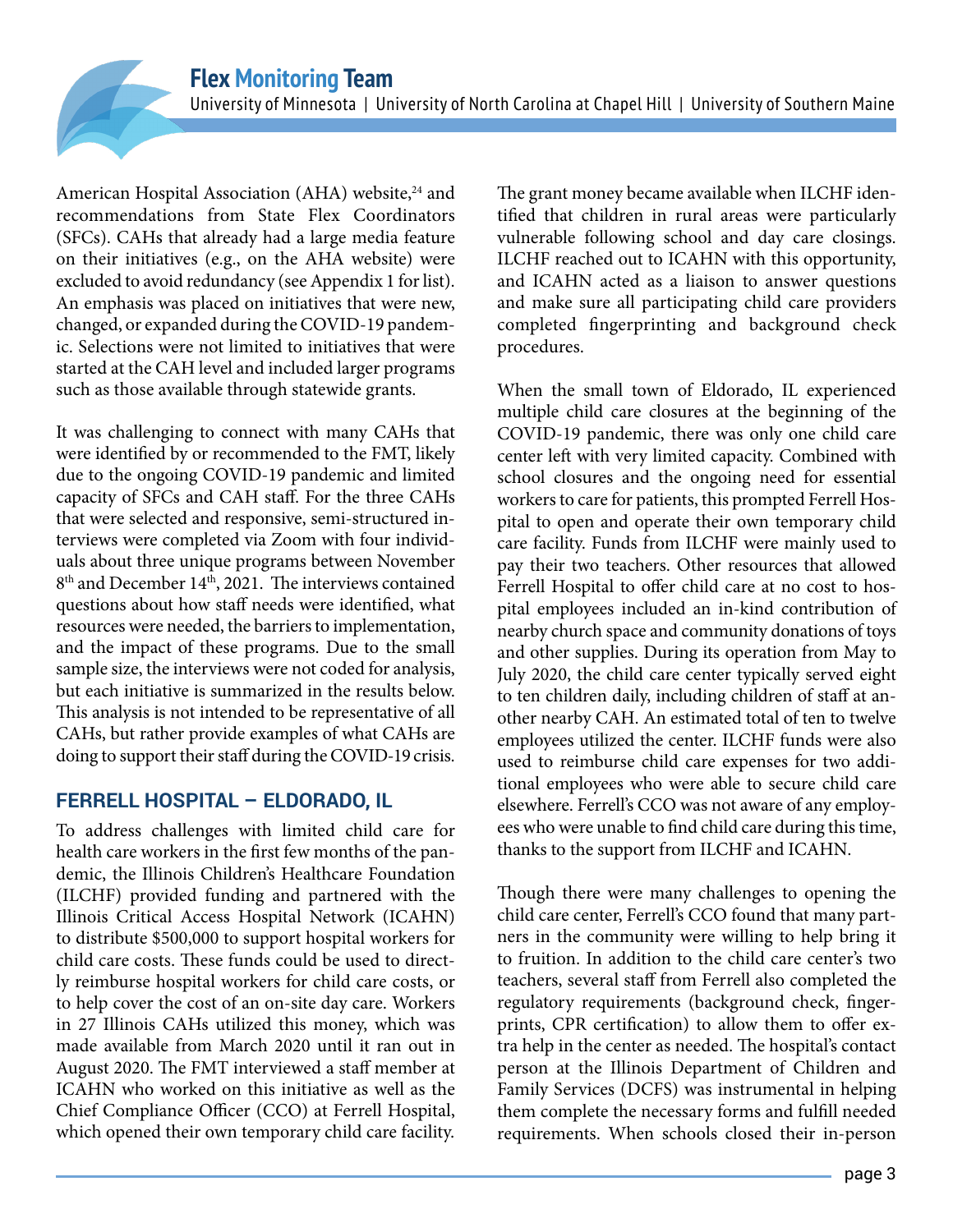American Hospital Association (AHA) website,<sup>24</sup> and recommendations from State Flex Coordinators (SFCs). CAHs that already had a large media feature on their initiatives (e.g., on the AHA website) were excluded to avoid redundancy (see Appendix 1 for list). An emphasis was placed on initiatives that were new, changed, or expanded during the COVID-19 pandemic. Selections were not limited to initiatives that were started at the CAH level and included larger programs such as those available through statewide grants.

It was challenging to connect with many CAHs that were identified by or recommended to the FMT, likely due to the ongoing COVID-19 pandemic and limited capacity of SFCs and CAH staff. For the three CAHs that were selected and responsive, semi-structured interviews were completed via Zoom with four individuals about three unique programs between November  $8<sup>th</sup>$  and December 14<sup>th</sup>, 2021. The interviews contained questions about how staff needs were identified, what resources were needed, the barriers to implementation, and the impact of these programs. Due to the small sample size, the interviews were not coded for analysis, but each initiative is summarized in the results below. This analysis is not intended to be representative of all CAHs, but rather provide examples of what CAHs are doing to support their staff during the COVID-19 crisis.

#### **FERRELL HOSPITAL – ELDORADO, IL**

To address challenges with limited child care for health care workers in the first few months of the pandemic, the Illinois Children's Healthcare Foundation (ILCHF) provided funding and partnered with the Illinois Critical Access Hospital Network (ICAHN) to distribute \$500,000 to support hospital workers for child care costs. These funds could be used to directly reimburse hospital workers for child care costs, or to help cover the cost of an on-site day care. Workers in 27 Illinois CAHs utilized this money, which was made available from March 2020 until it ran out in August 2020. The FMT interviewed a staff member at ICAHN who worked on this initiative as well as the Chief Compliance Officer (CCO) at Ferrell Hospital, which opened their own temporary child care facility.

The grant money became available when ILCHF identified that children in rural areas were particularly vulnerable following school and day care closings. ILCHF reached out to ICAHN with this opportunity, and ICAHN acted as a liaison to answer questions and make sure all participating child care providers completed fingerprinting and background check procedures.

When the small town of Eldorado, IL experienced multiple child care closures at the beginning of the COVID-19 pandemic, there was only one child care center left with very limited capacity. Combined with school closures and the ongoing need for essential workers to care for patients, this prompted Ferrell Hospital to open and operate their own temporary child care facility. Funds from ILCHF were mainly used to pay their two teachers. Other resources that allowed Ferrell Hospital to offer child care at no cost to hospital employees included an in-kind contribution of nearby church space and community donations of toys and other supplies. During its operation from May to July 2020, the child care center typically served eight to ten children daily, including children of staff at another nearby CAH. An estimated total of ten to twelve employees utilized the center. ILCHF funds were also used to reimburse child care expenses for two additional employees who were able to secure child care elsewhere. Ferrell's CCO was not aware of any employees who were unable to find child care during this time, thanks to the support from ILCHF and ICAHN.

Though there were many challenges to opening the child care center, Ferrell's CCO found that many partners in the community were willing to help bring it to fruition. In addition to the child care center's two teachers, several staff from Ferrell also completed the regulatory requirements (background check, fingerprints, CPR certification) to allow them to offer extra help in the center as needed. The hospital's contact person at the Illinois Department of Children and Family Services (DCFS) was instrumental in helping them complete the necessary forms and fulfill needed requirements. When schools closed their in-person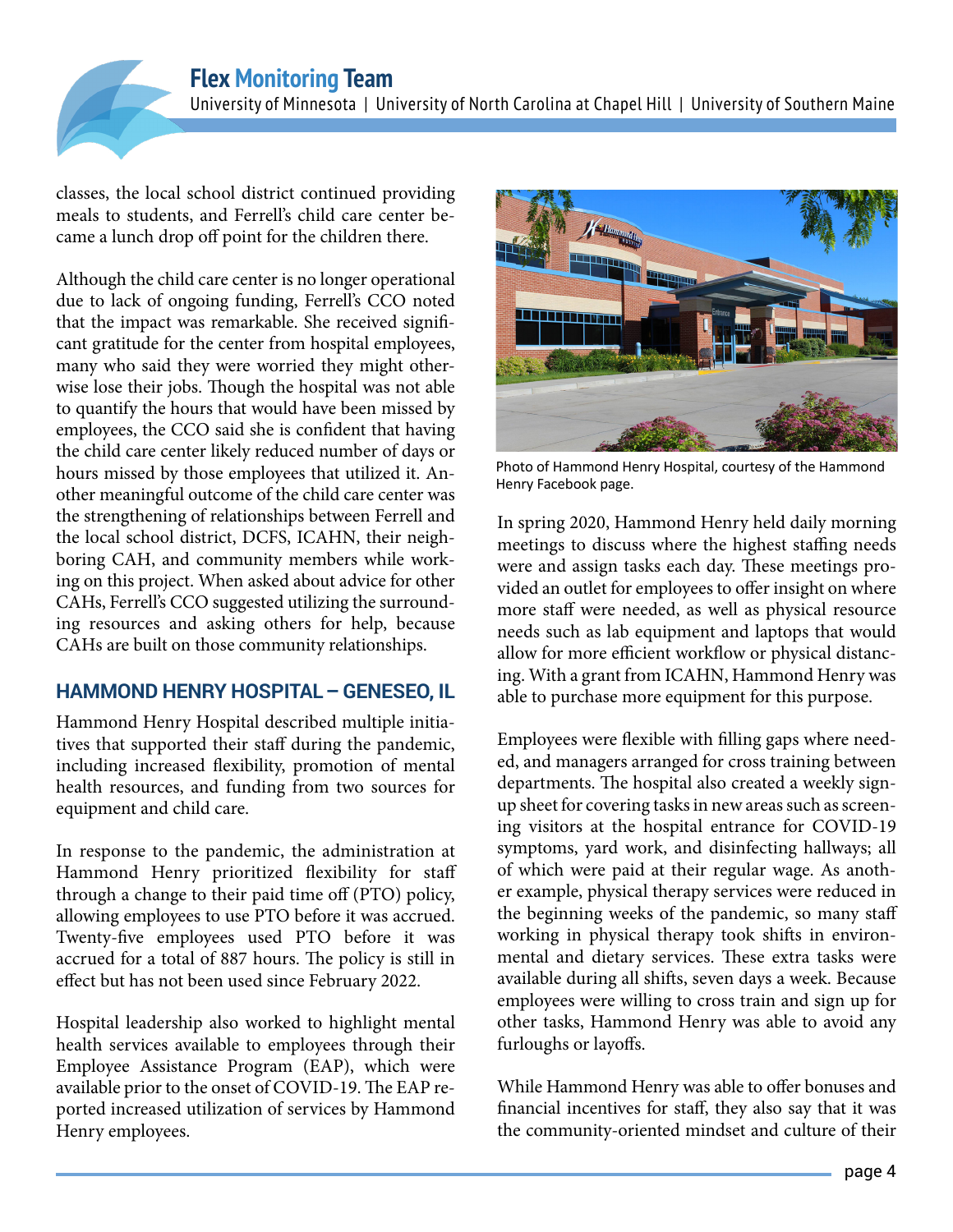

classes, the local school district continued providing meals to students, and Ferrell's child care center became a lunch drop off point for the children there.

Although the child care center is no longer operational due to lack of ongoing funding, Ferrell's CCO noted that the impact was remarkable. She received significant gratitude for the center from hospital employees, many who said they were worried they might otherwise lose their jobs. Though the hospital was not able to quantify the hours that would have been missed by employees, the CCO said she is confident that having the child care center likely reduced number of days or hours missed by those employees that utilized it. Another meaningful outcome of the child care center was the strengthening of relationships between Ferrell and the local school district, DCFS, ICAHN, their neighboring CAH, and community members while working on this project. When asked about advice for other CAHs, Ferrell's CCO suggested utilizing the surrounding resources and asking others for help, because CAHs are built on those community relationships.

#### **HAMMOND HENRY HOSPITAL – GENESEO, IL**

Hammond Henry Hospital described multiple initiatives that supported their staff during the pandemic, including increased flexibility, promotion of mental health resources, and funding from two sources for equipment and child care.

In response to the pandemic, the administration at Hammond Henry prioritized flexibility for staff through a change to their paid time off (PTO) policy, allowing employees to use PTO before it was accrued. Twenty-five employees used PTO before it was accrued for a total of 887 hours. The policy is still in effect but has not been used since February 2022.

Hospital leadership also worked to highlight mental health services available to employees through their Employee Assistance Program (EAP), which were available prior to the onset of COVID-19. The EAP reported increased utilization of services by Hammond Henry employees.



Photo of Hammond Henry Hospital, courtesy of the Hammond Henry Facebook page.

In spring 2020, Hammond Henry held daily morning meetings to discuss where the highest staffing needs were and assign tasks each day. These meetings provided an outlet for employees to offer insight on where more staff were needed, as well as physical resource needs such as lab equipment and laptops that would allow for more efficient workflow or physical distancing. With a grant from ICAHN, Hammond Henry was able to purchase more equipment for this purpose.

Employees were flexible with filling gaps where needed, and managers arranged for cross training between departments. The hospital also created a weekly signup sheet for covering tasks in new areas such as screening visitors at the hospital entrance for COVID-19 symptoms, yard work, and disinfecting hallways; all of which were paid at their regular wage. As another example, physical therapy services were reduced in the beginning weeks of the pandemic, so many staff working in physical therapy took shifts in environmental and dietary services. These extra tasks were available during all shifts, seven days a week. Because employees were willing to cross train and sign up for other tasks, Hammond Henry was able to avoid any furloughs or layoffs.

While Hammond Henry was able to offer bonuses and financial incentives for staff, they also say that it was the community-oriented mindset and culture of their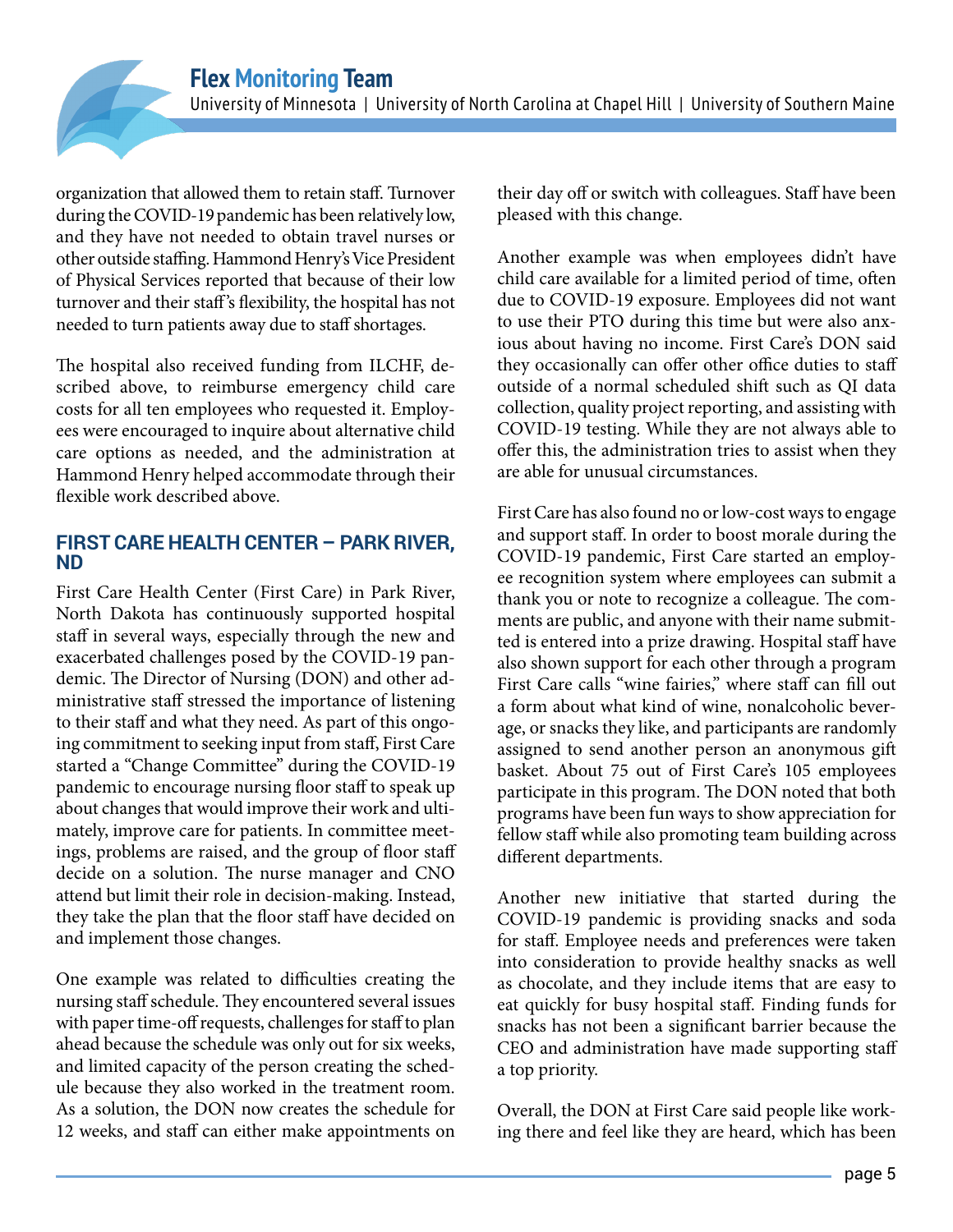organization that allowed them to retain staff. Turnover during the COVID-19 pandemic has been relatively low, and they have not needed to obtain travel nurses or other outside staffing. Hammond Henry's Vice President of Physical Services reported that because of their low turnover and their staff's flexibility, the hospital has not needed to turn patients away due to staff shortages.

The hospital also received funding from ILCHF, described above, to reimburse emergency child care costs for all ten employees who requested it. Employees were encouraged to inquire about alternative child care options as needed, and the administration at Hammond Henry helped accommodate through their flexible work described above.

#### **FIRST CARE HEALTH CENTER – PARK RIVER, ND**

First Care Health Center (First Care) in Park River, North Dakota has continuously supported hospital staff in several ways, especially through the new and exacerbated challenges posed by the COVID-19 pandemic. The Director of Nursing (DON) and other administrative staff stressed the importance of listening to their staff and what they need. As part of this ongoing commitment to seeking input from staff, First Care started a "Change Committee" during the COVID-19 pandemic to encourage nursing floor staff to speak up about changes that would improve their work and ultimately, improve care for patients. In committee meetings, problems are raised, and the group of floor staff decide on a solution. The nurse manager and CNO attend but limit their role in decision-making. Instead, they take the plan that the floor staff have decided on and implement those changes.

One example was related to difficulties creating the nursing staff schedule. They encountered several issues with paper time-off requests, challenges for staff to plan ahead because the schedule was only out for six weeks, and limited capacity of the person creating the schedule because they also worked in the treatment room. As a solution, the DON now creates the schedule for 12 weeks, and staff can either make appointments on

their day off or switch with colleagues. Staff have been pleased with this change.

Another example was when employees didn't have child care available for a limited period of time, often due to COVID-19 exposure. Employees did not want to use their PTO during this time but were also anxious about having no income. First Care's DON said they occasionally can offer other office duties to staff outside of a normal scheduled shift such as QI data collection, quality project reporting, and assisting with COVID-19 testing. While they are not always able to offer this, the administration tries to assist when they are able for unusual circumstances.

First Care has also found no or low-cost ways to engage and support staff. In order to boost morale during the COVID-19 pandemic, First Care started an employee recognition system where employees can submit a thank you or note to recognize a colleague. The comments are public, and anyone with their name submitted is entered into a prize drawing. Hospital staff have also shown support for each other through a program First Care calls "wine fairies," where staff can fill out a form about what kind of wine, nonalcoholic beverage, or snacks they like, and participants are randomly assigned to send another person an anonymous gift basket. About 75 out of First Care's 105 employees participate in this program. The DON noted that both programs have been fun ways to show appreciation for fellow staff while also promoting team building across different departments.

Another new initiative that started during the COVID-19 pandemic is providing snacks and soda for staff. Employee needs and preferences were taken into consideration to provide healthy snacks as well as chocolate, and they include items that are easy to eat quickly for busy hospital staff. Finding funds for snacks has not been a significant barrier because the CEO and administration have made supporting staff a top priority.

Overall, the DON at First Care said people like working there and feel like they are heard, which has been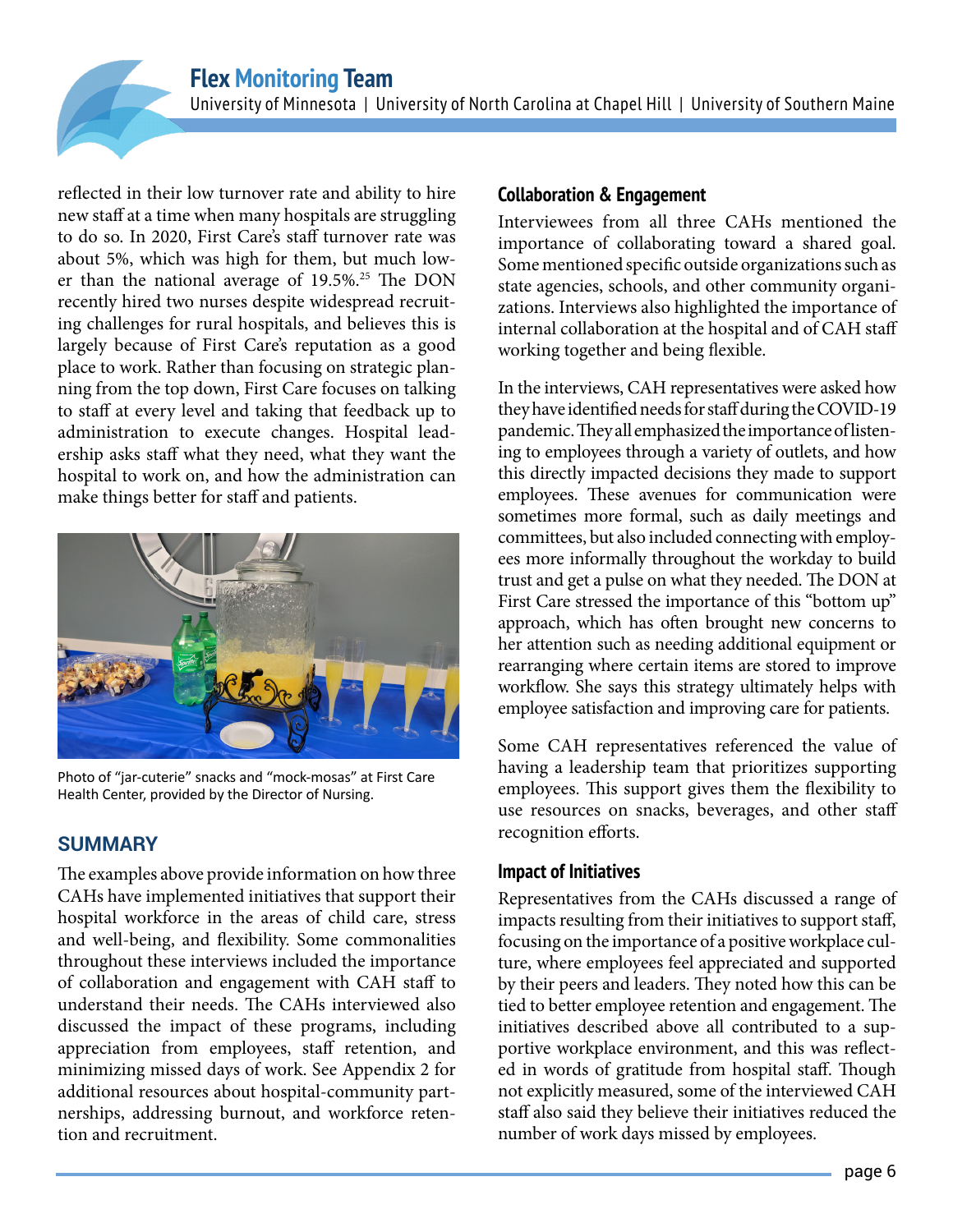reflected in their low turnover rate and ability to hire new staff at a time when many hospitals are struggling to do so. In 2020, First Care's staff turnover rate was about 5%, which was high for them, but much lower than the national average of 19.5%.<sup>25</sup> The DON recently hired two nurses despite widespread recruiting challenges for rural hospitals, and believes this is largely because of First Care's reputation as a good place to work. Rather than focusing on strategic planning from the top down, First Care focuses on talking to staff at every level and taking that feedback up to administration to execute changes. Hospital leadership asks staff what they need, what they want the hospital to work on, and how the administration can make things better for staff and patients.



Photo of "jar-cuterie" snacks and "mock-mosas" at First Care Health Center, provided by the Director of Nursing.

#### **SUMMARY**

The examples above provide information on how three CAHs have implemented initiatives that support their hospital workforce in the areas of child care, stress and well-being, and flexibility. Some commonalities throughout these interviews included the importance of collaboration and engagement with CAH staff to understand their needs. The CAHs interviewed also discussed the impact of these programs, including appreciation from employees, staff retention, and minimizing missed days of work. See Appendix 2 for additional resources about hospital-community partnerships, addressing burnout, and workforce retention and recruitment.

#### **Collaboration & Engagement**

Interviewees from all three CAHs mentioned the importance of collaborating toward a shared goal. Some mentioned specific outside organizations such as state agencies, schools, and other community organizations. Interviews also highlighted the importance of internal collaboration at the hospital and of CAH staff working together and being flexible.

In the interviews, CAH representatives were asked how they have identified needs for staff during the COVID-19 pandemic. They all emphasized the importance of listening to employees through a variety of outlets, and how this directly impacted decisions they made to support employees. These avenues for communication were sometimes more formal, such as daily meetings and committees, but also included connecting with employees more informally throughout the workday to build trust and get a pulse on what they needed. The DON at First Care stressed the importance of this "bottom up" approach, which has often brought new concerns to her attention such as needing additional equipment or rearranging where certain items are stored to improve workflow. She says this strategy ultimately helps with employee satisfaction and improving care for patients.

Some CAH representatives referenced the value of having a leadership team that prioritizes supporting employees. This support gives them the flexibility to use resources on snacks, beverages, and other staff recognition efforts.

#### **Impact of Initiatives**

Representatives from the CAHs discussed a range of impacts resulting from their initiatives to support staff, focusing on the importance of a positive workplace culture, where employees feel appreciated and supported by their peers and leaders. They noted how this can be tied to better employee retention and engagement. The initiatives described above all contributed to a supportive workplace environment, and this was reflected in words of gratitude from hospital staff. Though not explicitly measured, some of the interviewed CAH staff also said they believe their initiatives reduced the number of work days missed by employees.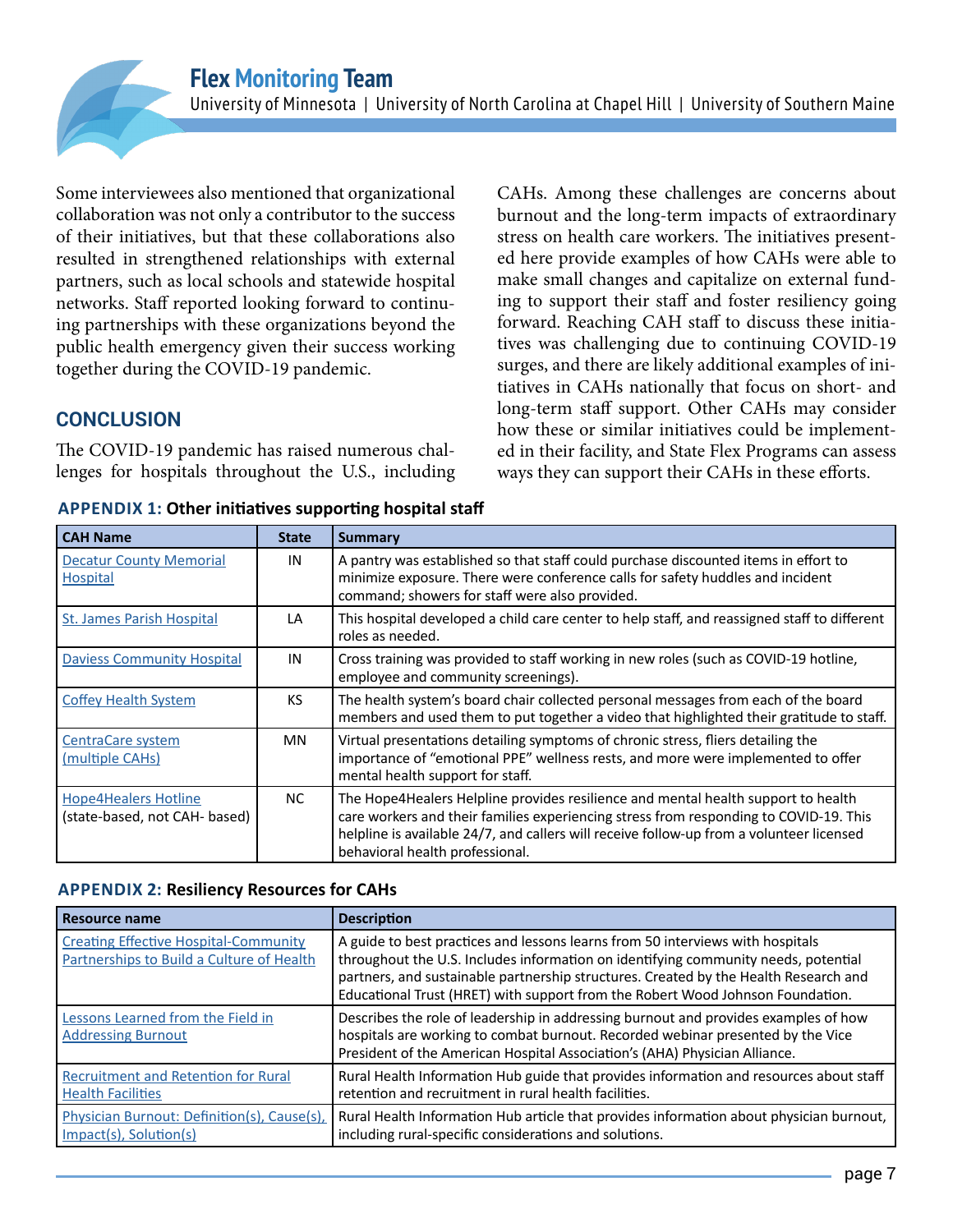CAHs. Among these challenges are concerns about burnout and the long-term impacts of extraordinary stress on health care workers. The initiatives presented here provide examples of how CAHs were able to make small changes and capitalize on external funding to support their staff and foster resiliency going forward. Reaching CAH staff to discuss these initiatives was challenging due to continuing COVID-19 surges, and there are likely additional examples of initiatives in CAHs nationally that focus on short- and long-term staff support. Other CAHs may consider how these or similar initiatives could be implemented in their facility, and State Flex Programs can assess ways they can support their CAHs in these efforts.

Some interviewees also mentioned that organizational collaboration was not only a contributor to the success of their initiatives, but that these collaborations also resulted in strengthened relationships with external partners, such as local schools and statewide hospital networks. Staff reported looking forward to continuing partnerships with these organizations beyond the public health emergency given their success working together during the COVID-19 pandemic.

#### **CONCLUSION**

The COVID-19 pandemic has raised numerous challenges for hospitals throughout the U.S., including

| <b>CAH Name</b>                                              | <b>State</b> | <b>Summary</b>                                                                                                                                                                                                                                                                                            |
|--------------------------------------------------------------|--------------|-----------------------------------------------------------------------------------------------------------------------------------------------------------------------------------------------------------------------------------------------------------------------------------------------------------|
| <b>Decatur County Memorial</b><br>Hospital                   | IN           | A pantry was established so that staff could purchase discounted items in effort to<br>minimize exposure. There were conference calls for safety huddles and incident<br>command; showers for staff were also provided.                                                                                   |
| <b>St. James Parish Hospital</b>                             | LA           | This hospital developed a child care center to help staff, and reassigned staff to different<br>roles as needed.                                                                                                                                                                                          |
| <b>Daviess Community Hospital</b>                            | IN           | Cross training was provided to staff working in new roles (such as COVID-19 hotline,<br>employee and community screenings).                                                                                                                                                                               |
| <b>Coffey Health System</b>                                  | KS           | The health system's board chair collected personal messages from each of the board<br>members and used them to put together a video that highlighted their gratitude to staff.                                                                                                                            |
| <b>CentraCare system</b><br>(multiple CAHs)                  | MN           | Virtual presentations detailing symptoms of chronic stress, fliers detailing the<br>importance of "emotional PPE" wellness rests, and more were implemented to offer<br>mental health support for staff.                                                                                                  |
| <b>Hope4Healers Hotline</b><br>(state-based, not CAH- based) | NC.          | The Hope4Healers Helpline provides resilience and mental health support to health<br>care workers and their families experiencing stress from responding to COVID-19. This<br>helpline is available 24/7, and callers will receive follow-up from a volunteer licensed<br>behavioral health professional. |

**APPENDIX 1: Other initiatives supporting hospital staff**

#### **APPENDIX 2: Resiliency Resources for CAHs**

| Resource name                                                                             | <b>Description</b>                                                                                                                                                                                                                                                                                                                             |
|-------------------------------------------------------------------------------------------|------------------------------------------------------------------------------------------------------------------------------------------------------------------------------------------------------------------------------------------------------------------------------------------------------------------------------------------------|
| <b>Creating Effective Hospital-Community</b><br>Partnerships to Build a Culture of Health | A guide to best practices and lessons learns from 50 interviews with hospitals<br>throughout the U.S. Includes information on identifying community needs, potential<br>partners, and sustainable partnership structures. Created by the Health Research and<br>Educational Trust (HRET) with support from the Robert Wood Johnson Foundation. |
| Lessons Learned from the Field in<br><b>Addressing Burnout</b>                            | Describes the role of leadership in addressing burnout and provides examples of how<br>hospitals are working to combat burnout. Recorded webinar presented by the Vice<br>President of the American Hospital Association's (AHA) Physician Alliance.                                                                                           |
| <b>Recruitment and Retention for Rural</b><br><b>Health Facilities</b>                    | Rural Health Information Hub guide that provides information and resources about staff<br>retention and recruitment in rural health facilities.                                                                                                                                                                                                |
| Physician Burnout: Definition(s), Cause(s),<br>Impact(s), Solution(s)                     | Rural Health Information Hub article that provides information about physician burnout,<br>including rural-specific considerations and solutions.                                                                                                                                                                                              |